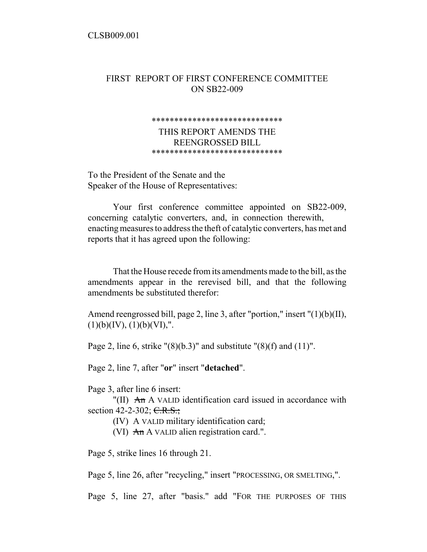## FIRST REPORT OF FIRST CONFERENCE COMMITTEE ON SB22-009

## \*\*\*\*\*\*\*\*\*\*\*\*\*\*\*\*\*\*\*\*\*\*\*\*\*\*\*\*\*

THIS REPORT AMENDS THE REENGROSSED BILL \*\*\*\*\*\*\*\*\*\*\*\*\*\*\*\*\*\*\*\*\*\*\*\*\*\*\*\*\*

To the President of the Senate and the Speaker of the House of Representatives:

Your first conference committee appointed on SB22-009, concerning catalytic converters, and, in connection therewith, enacting measures to address the theft of catalytic converters, has met and reports that it has agreed upon the following:

That the House recede from its amendments made to the bill, as the amendments appear in the rerevised bill, and that the following amendments be substituted therefor:

Amend reengrossed bill, page 2, line 3, after "portion," insert "(1)(b)(II),  $(1)(b)(IV), (1)(b)(VI),".$ 

Page 2, line 6, strike " $(8)(b.3)$ " and substitute " $(8)(f)$  and  $(11)$ ".

Page 2, line 7, after "**or**" insert "**detached**".

Page 3, after line 6 insert:

"(II)  $An A$  VALID identification card issued in accordance with section 42-2-302; C.R.S.;

(IV) A VALID military identification card;

(VI)  $An A$  VALID alien registration card.".

Page 5, strike lines 16 through 21.

Page 5, line 26, after "recycling," insert "PROCESSING, OR SMELTING,".

Page 5, line 27, after "basis." add "FOR THE PURPOSES OF THIS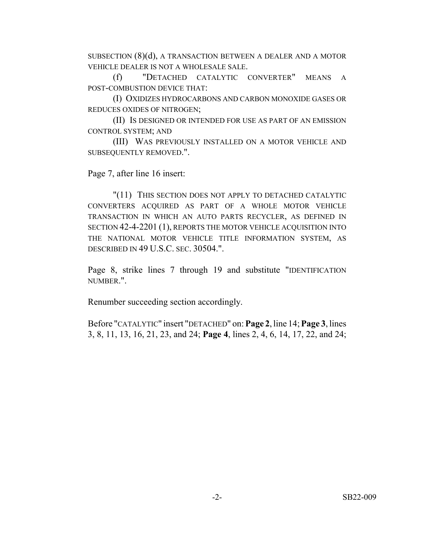SUBSECTION (8)(d), A TRANSACTION BETWEEN A DEALER AND A MOTOR VEHICLE DEALER IS NOT A WHOLESALE SALE.

(f) "DETACHED CATALYTIC CONVERTER" MEANS A POST-COMBUSTION DEVICE THAT:

(I) OXIDIZES HYDROCARBONS AND CARBON MONOXIDE GASES OR REDUCES OXIDES OF NITROGEN;

(II) IS DESIGNED OR INTENDED FOR USE AS PART OF AN EMISSION CONTROL SYSTEM; AND

(III) WAS PREVIOUSLY INSTALLED ON A MOTOR VEHICLE AND SUBSEQUENTLY REMOVED.".

Page 7, after line 16 insert:

"(11) THIS SECTION DOES NOT APPLY TO DETACHED CATALYTIC CONVERTERS ACQUIRED AS PART OF A WHOLE MOTOR VEHICLE TRANSACTION IN WHICH AN AUTO PARTS RECYCLER, AS DEFINED IN SECTION 42-4-2201 (1), REPORTS THE MOTOR VEHICLE ACQUISITION INTO THE NATIONAL MOTOR VEHICLE TITLE INFORMATION SYSTEM, AS DESCRIBED IN 49 U.S.C. SEC. 30504.".

Page 8, strike lines 7 through 19 and substitute "IDENTIFICATION NUMBER.".

Renumber succeeding section accordingly.

Before "CATALYTIC" insert "DETACHED" on: **Page 2**, line 14; **Page 3**, lines 3, 8, 11, 13, 16, 21, 23, and 24; **Page 4**, lines 2, 4, 6, 14, 17, 22, and 24;